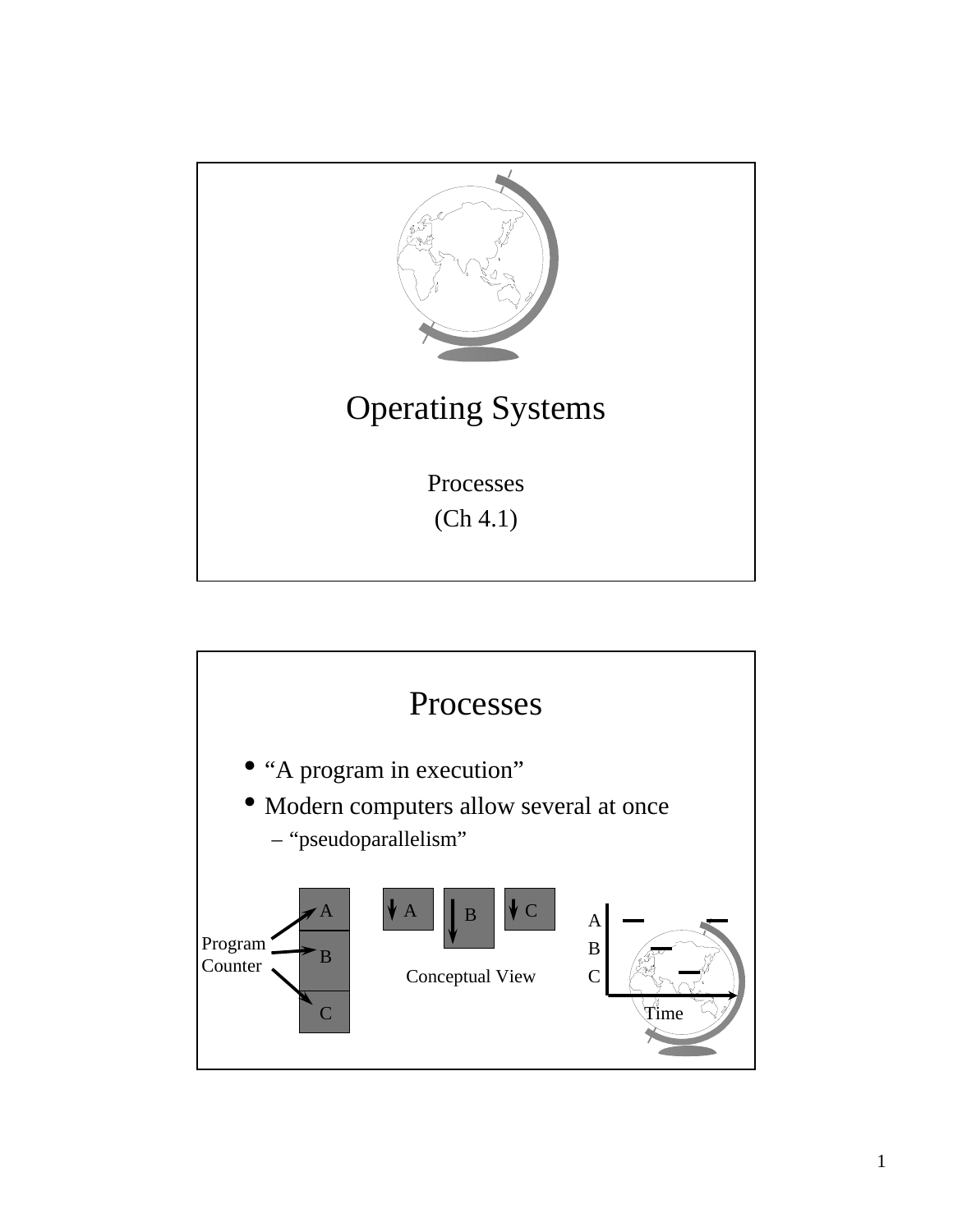

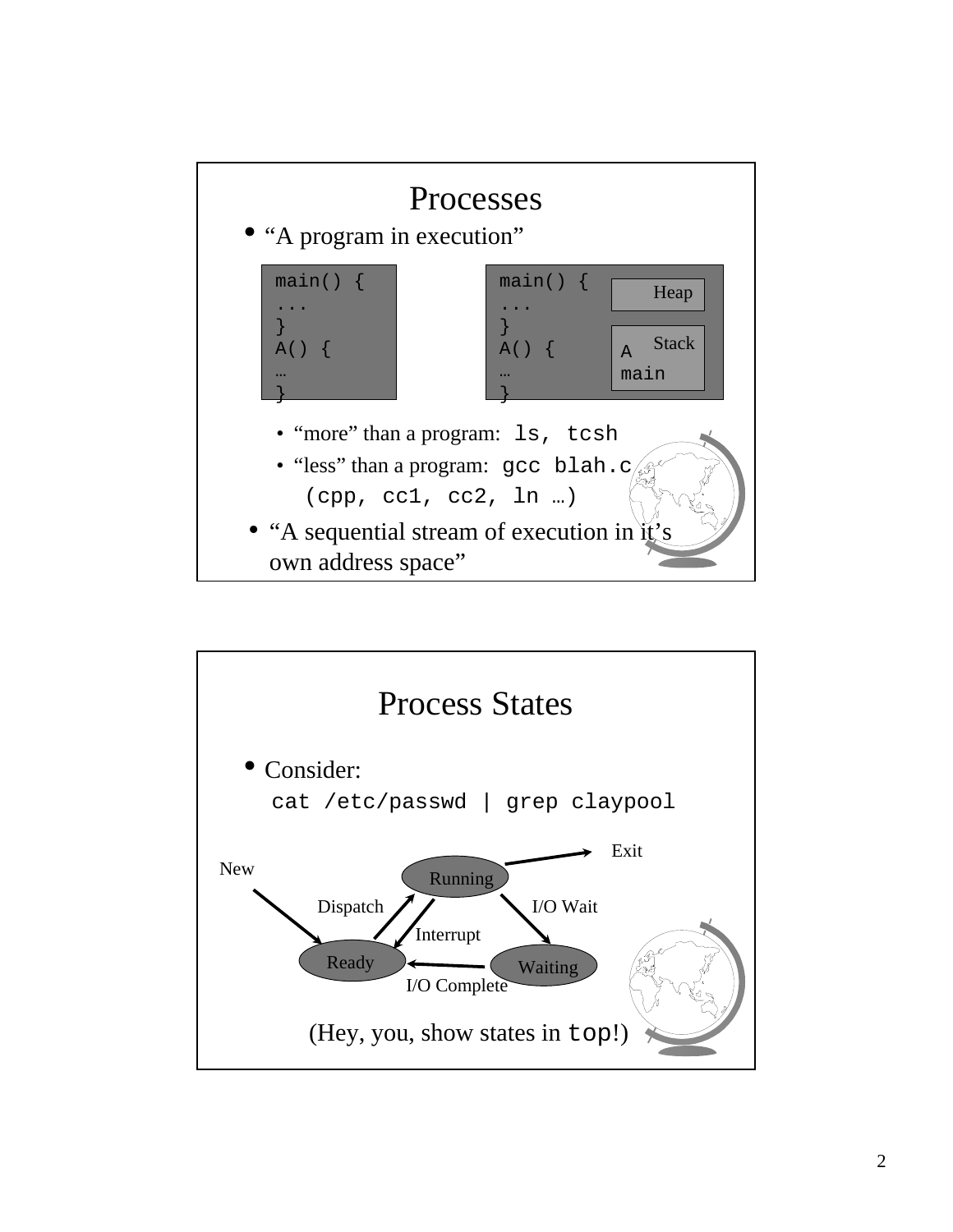

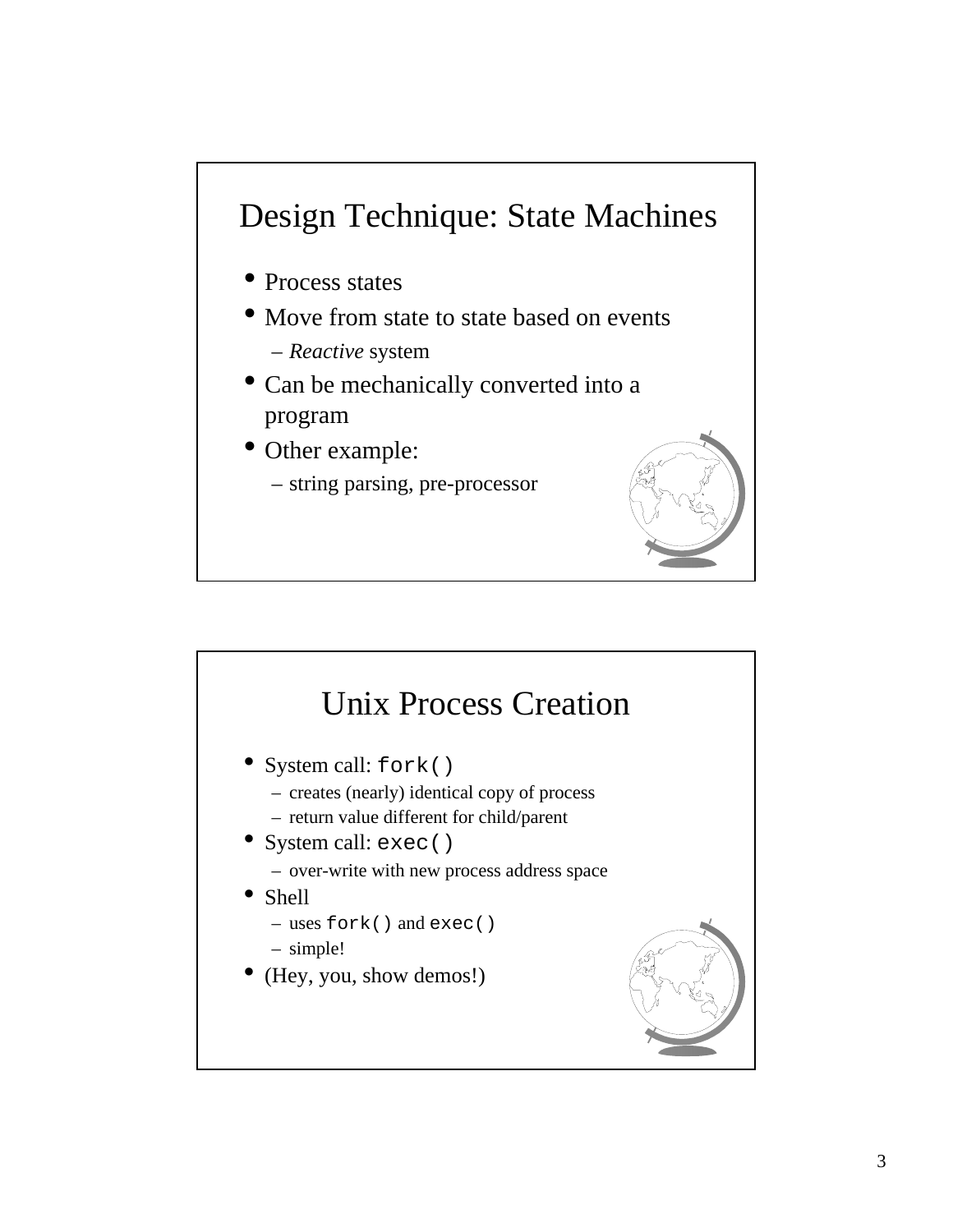## Design Technique: State Machines

- Process states
- Move from state to state based on events
	- *Reactive* system
- Can be mechanically converted into a program
- Other example:
	- string parsing, pre-processor



## Unix Process Creation • System call: fork() – creates (nearly) identical copy of process – return value different for child/parent • System call: exec() – over-write with new process address space • Shell – uses fork() and exec() – simple! • (Hey, you, show demos!)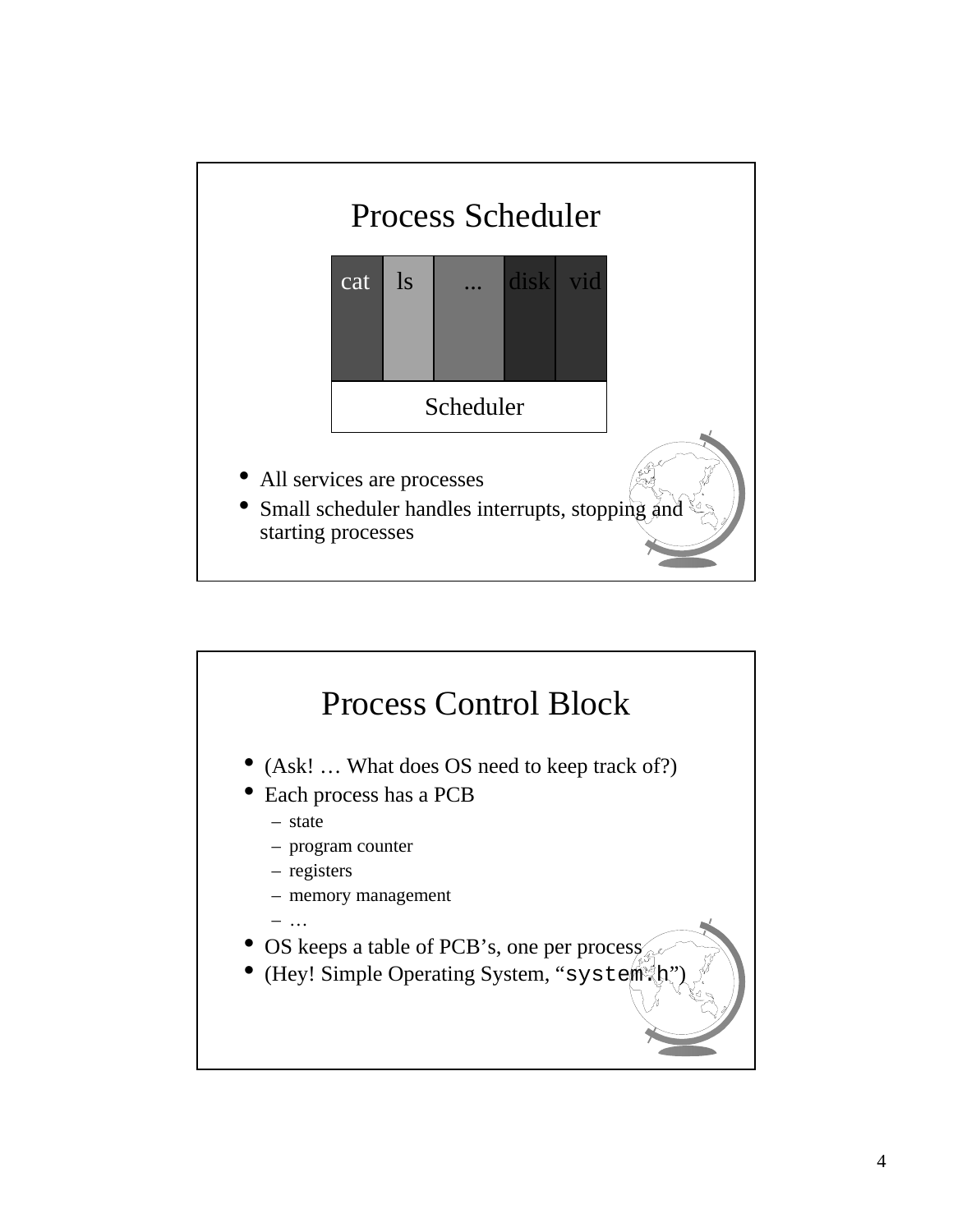

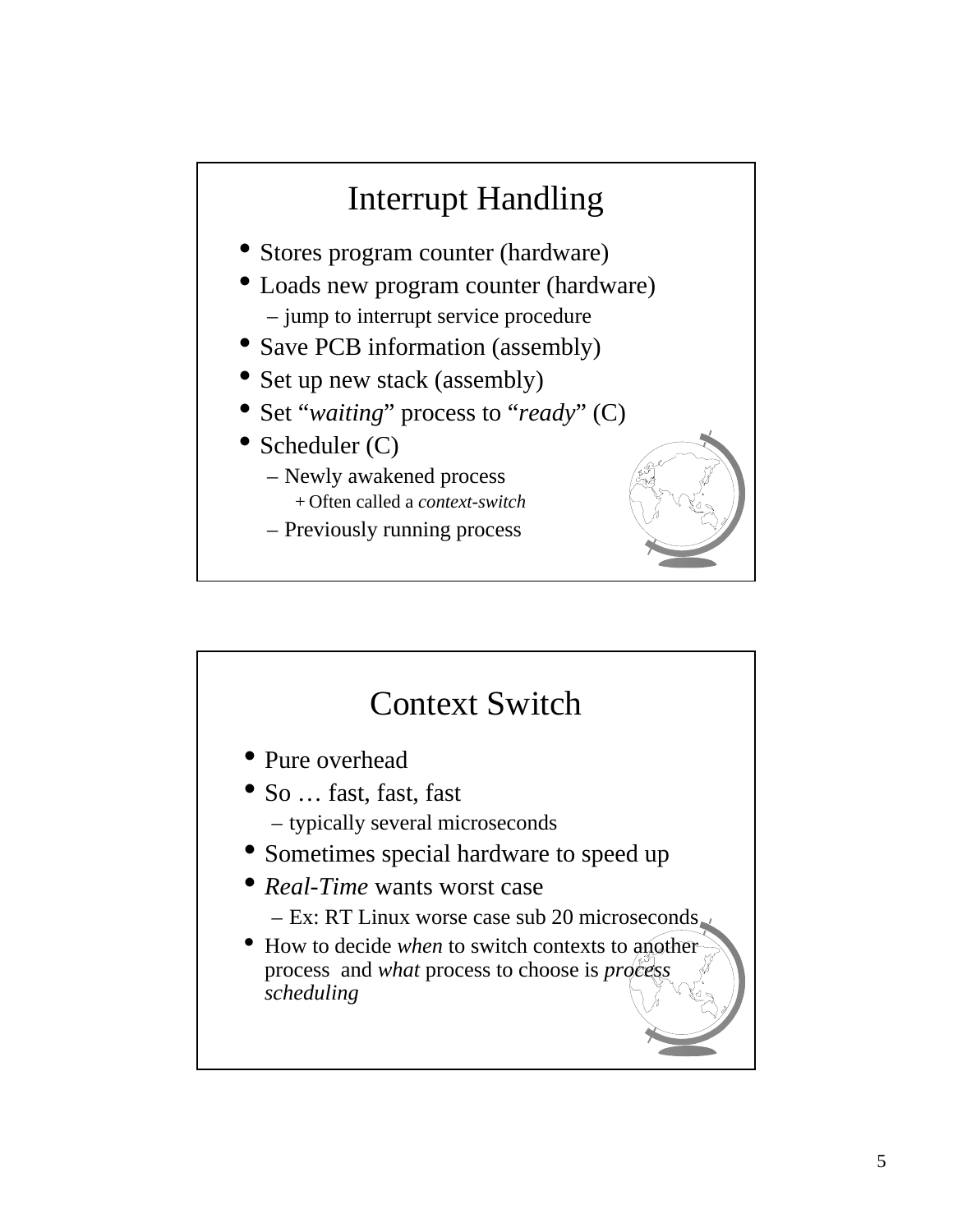

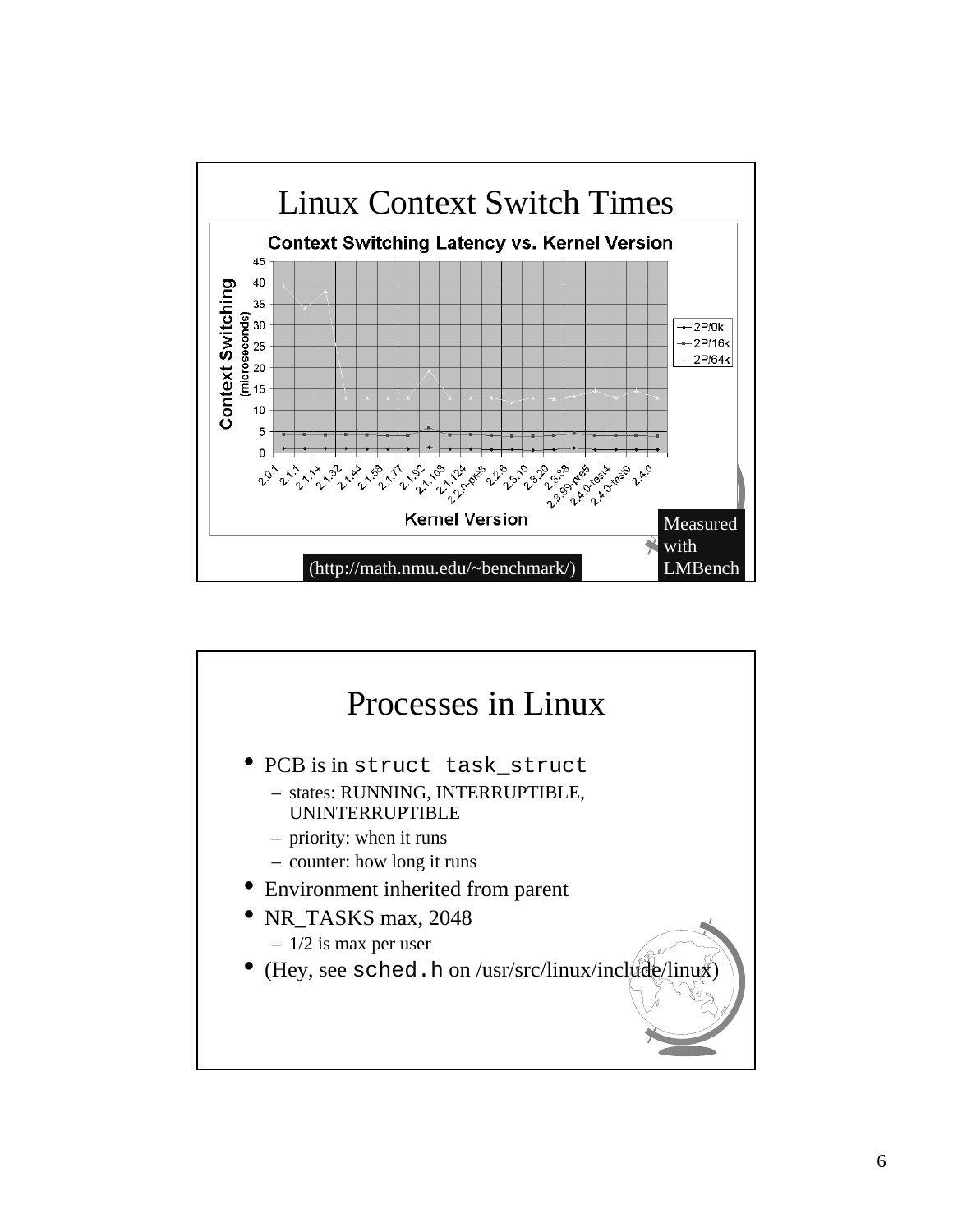